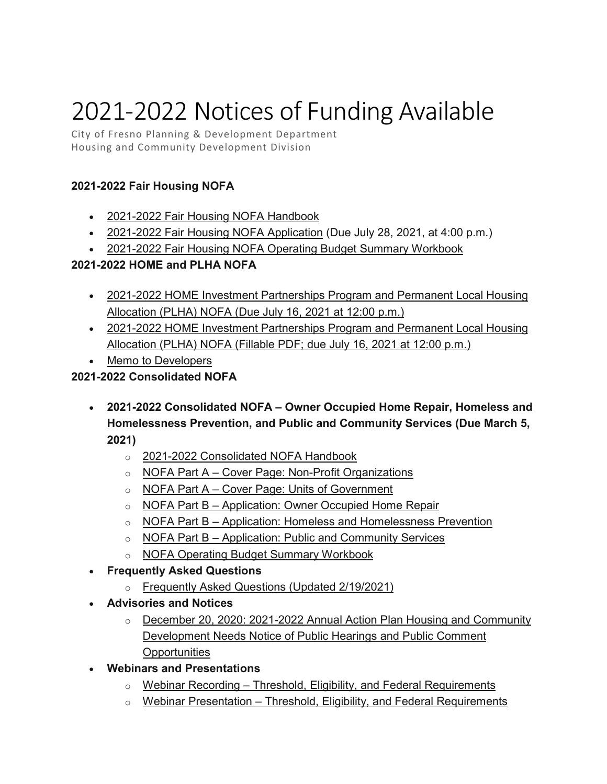## 2021-2022 Notices of Funding Available

City of Fresno Planning & Development Department Housing and Community Development Division

## **2021-2022 Fair Housing NOFA**

- [2021-2022 Fair Housing NOFA Handbook](https://www.fresno.gov/darm/wp-content/uploads/sites/10/2021/06/2021-2022-Fair-Housing-NOFA-Handbook-v1.pdf)
- [2021-2022 Fair Housing NOFA Application](https://www.fresno.gov/darm/wp-content/uploads/sites/10/2021/01/2021-2022-Fair-Housing-NOFA-Application-v2.pdf) (Due July 28, 2021, at 4:00 p.m.)
- [2021-2022 Fair Housing NOFA Operating Budget Summary Workbook](https://www.fresno.gov/darm/wp-content/uploads/sites/10/2021/06/NOFA-Operating-Budget-Summary-Workbook.xlsx)

## **2021-2022 HOME and PLHA NOFA**

- [2021-2022 HOME Investment Partnerships Program and Permanent Local Housing](https://www.fresno.gov/darm/wp-content/uploads/sites/10/2021/06/2021-HOME-CHDO-PLHA-NOFA-6-11-21.pdf)  [Allocation \(PLHA\) NOFA \(Due July 16, 2021 at 12:00 p.m.\)](https://www.fresno.gov/darm/wp-content/uploads/sites/10/2021/06/2021-HOME-CHDO-PLHA-NOFA-6-11-21.pdf)
- [2021-2022 HOME Investment Partnerships Program and Permanent Local Housing](https://www.fresno.gov/darm/wp-content/uploads/sites/10/2021/06/2021-HOME-CHDO-PLHA-NOFA-6-11-21-v1.pdf)  [Allocation \(PLHA\) NOFA \(Fillable PDF; due July 16, 2021 at 12:00 p.m.\)](https://www.fresno.gov/darm/wp-content/uploads/sites/10/2021/06/2021-HOME-CHDO-PLHA-NOFA-6-11-21-v1.pdf)
- [Memo to Developers](https://www.fresno.gov/darm/wp-content/uploads/sites/10/2021/06/Memo-to-Developers-v1.pdf)

## **2021-2022 Consolidated NOFA**

- **2021-2022 Consolidated NOFA – Owner Occupied Home Repair, Homeless and Homelessness Prevention, and Public and Community Services (Due March 5, 2021)**
	- o [2021-2022 Consolidated NOFA Handbook](https://www.fresno.gov/darm/wp-content/uploads/sites/10/2021/02/2021-2022-Consolidated-NOFA-Handbook.pdf)
	- $\circ$  NOFA Part A [Cover Page: Non-Profit Organizations](https://www.fresno.gov/darm/wp-content/uploads/sites/10/2021/02/PY21-NOFA-Part-A-%E2%80%93-Non-Profits.docx)
	- $\circ$  NOFA Part A [Cover Page: Units of Government](https://www.fresno.gov/darm/wp-content/uploads/sites/10/2021/02/PY21-NOFA-Part-A-%E2%80%93-Government.docx)
	- o NOFA Part B [Application: Owner Occupied Home Repair](https://www.fresno.gov/darm/wp-content/uploads/sites/10/2021/02/PY21-NOFA-Part-B-Home-Repair.docx)
	- o NOFA Part B [Application: Homeless and Homelessness Prevention](https://www.fresno.gov/darm/wp-content/uploads/sites/10/2021/02/PY21-NOFA-Part-B-Homelessness.docx)
	- $\circ$  NOFA Part B [Application: Public and Community Services](https://www.fresno.gov/darm/wp-content/uploads/sites/10/2021/02/PY21-NOFA-Part-B-Services.docx)
	- o [NOFA Operating Budget Summary Workbook](https://www.fresno.gov/darm/wp-content/uploads/sites/10/2021/02/PY21-Operating-Budget.xlsx)
- **Frequently Asked Questions**
	- o [Frequently Asked Questions \(Updated 2/19/2021\)](https://www.fresno.gov/darm/wp-content/uploads/sites/10/2021/02/PY21-NOFA-FAQ.pdf)
- **Advisories and Notices**
	- $\circ$  December 20, 2020: 2021-2022 Annual Action Plan Housing and Community [Development Needs Notice of Public Hearings and Public Comment](https://www.fresno.gov/darm/wp-content/uploads/sites/10/2020/12/2020-12_AAP_Notice_English.pdf)  **[Opportunities](https://www.fresno.gov/darm/wp-content/uploads/sites/10/2020/12/2020-12_AAP_Notice_English.pdf)**
- **Webinars and Presentations**
	- $\circ$  Webinar Recording [Threshold, Eligibility, and Federal Requirements](https://youtu.be/oS85ZqhBbgo)
	- $\circ$  Webinar Presentation [Threshold, Eligibility, and Federal Requirements](https://www.fresno.gov/darm/wp-content/uploads/sites/10/2021/02/PY21-NOFA-Overall.pdf)